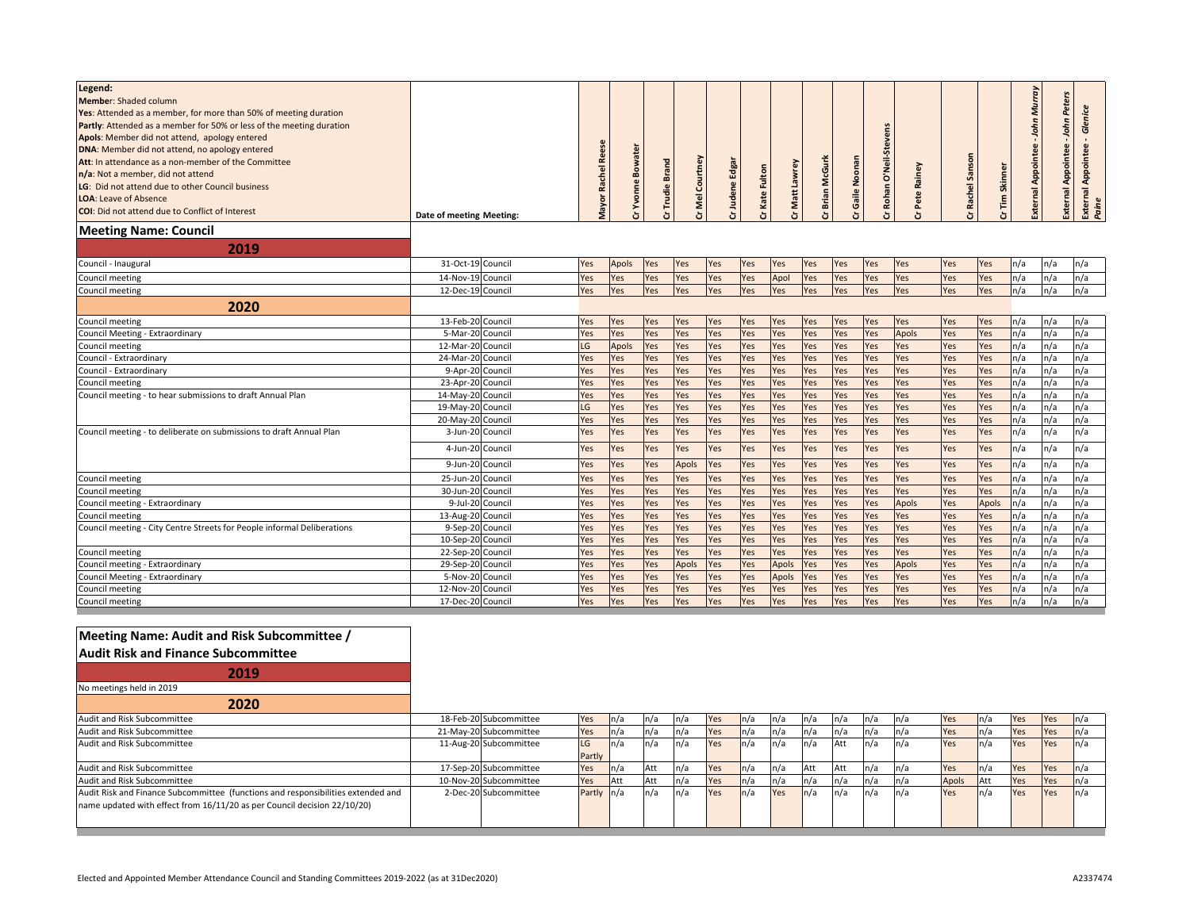| Legend:                                                              |                          |  |   |  |   |        |          |        |         |  |
|----------------------------------------------------------------------|--------------------------|--|---|--|---|--------|----------|--------|---------|--|
| <b>Member: Shaded column</b>                                         |                          |  |   |  |   |        |          |        |         |  |
| Yes: Attended as a member, for more than 50% of meeting duration     |                          |  |   |  |   |        |          |        |         |  |
| Partly: Attended as a member for 50% or less of the meeting duration |                          |  |   |  |   |        |          |        |         |  |
| Apols: Member did not attend, apology entered                        |                          |  |   |  |   |        |          |        |         |  |
| DNA: Member did not attend, no apology entered                       |                          |  |   |  |   |        |          |        |         |  |
| Att: In attendance as a non-member of the Committee                  |                          |  | 꼳 |  |   |        |          |        |         |  |
| n/a: Not a member, did not attend                                    |                          |  |   |  |   |        |          | ā      |         |  |
| LG: Did not attend due to other Council business                     |                          |  |   |  |   |        |          |        | Skinner |  |
| <b>LOA: Leave of Absence</b>                                         |                          |  |   |  |   |        | n<br>Ro  | 동<br>歰 | 톱       |  |
| <b>COI:</b> Did not attend due to Conflict of Interest               | Date of meeting Meeting: |  | ō |  | ò | ๏<br>ò | $\cdots$ | òΙ     | ò       |  |
| $18.8 - 11.0 - 11.0 - 12.0 - 11.$                                    |                          |  |   |  |   |        |          |        |         |  |

**Meeting Name: Council** 

**2019**

| 201J                                                                    |                   |            |       |     |       |     |     |              |     |     |            |       |     |       |      |     |     |
|-------------------------------------------------------------------------|-------------------|------------|-------|-----|-------|-----|-----|--------------|-----|-----|------------|-------|-----|-------|------|-----|-----|
| Council - Inaugural                                                     | 31-Oct-19 Council | Yes        | Apols | Yes | Yes   | Yes | Yes | Yes          | Yes | Yes | Yes        | Yes   | Yes | Yes   | ln/a | n/a | n/a |
| Council meeting                                                         | 14-Nov-19 Council | Yes        | Yes   | Yes | Yes   | Yes | Yes | Apol         | Yes | Yes | Yes        | Yes   | Yes | Yes   | n/a  | n/a | n/a |
| Council meeting                                                         | 12-Dec-19 Council | Yes        | Yes   | Yes | Yes   | Yes | Yes | Yes          | Yes | Yes | Yes        | Yes   | Yes | Yes   | n/a  | n/a | n/a |
| 2020                                                                    |                   |            |       |     |       |     |     |              |     |     |            |       |     |       |      |     |     |
| Council meeting                                                         | 13-Feb-20 Council | Yes        | Yes   | Yes | Yes   | Yes | Yes | Yes          | Yes | Yes | Yes        | Yes   | Yes | Yes   | n/a  | n/a | n/a |
| Council Meeting - Extraordinary                                         | 5-Mar-20 Council  | Yes        | Yes   | Yes | Yes   | Yes | Yes | Yes          | Yes | Yes | Yes        | Apols | Yes | Yes   | n/a  | n/a | n/a |
| Council meeting                                                         | 12-Mar-20 Council | LG         | Apols | Yes | Yes   | Yes | Yes | Yes          | Yes | Yes | <b>Yes</b> | Yes   | Yes | Yes   | n/a  | n/a | n/a |
| Council - Extraordinary                                                 | 24-Mar-20 Council | Yes        | Yes   | Yes | Yes   | Yes | Yes | Yes          | Yes | Yes | Yes        | Yes   | Yes | Yes   | n/a  | n/a | n/a |
| Council - Extraordinary                                                 | 9-Apr-20 Council  | Yes        | Yes   | Yes | Yes   | Yes | Yes | Yes          | Yes | Yes | Yes        | Yes   | Yes | Yes   | n/a  | n/a | n/a |
| Council meeting                                                         | 23-Apr-20 Council | Yes        | Yes   | Yes | Yes   | Yes | Yes | Yes          | Yes | Yes | Yes        | Yes   | Yes | Yes   | n/a  | n/a | n/a |
| Council meeting - to hear submissions to draft Annual Plan              | 14-May-20 Council | Yes        | Yes   | Yes | Yes   | Yes | Yes | Yes          | Yes | Yes | Yes        | Yes   | Yes | res   | n/a  | n/a | n/a |
|                                                                         | 19-May-20 Council | LG         | Yes   | Yes | Yes   | Yes | Yes | Yes          | Yes | Yes | Yes        | Yes   | Yes | Yes   | n/a  | n/a | n/a |
|                                                                         | 20-May-20 Council | Yes        | Yes   | Yes | Yes   | Yes | Yes | Yes          | Yes | Yes | Yes        | Yes   | Yes | Yes   | n/a  | n/a | n/a |
| Council meeting - to deliberate on submissions to draft Annual Plan     | 3-Jun-20 Council  | Yes        | Yes   | Yes | Yes   | Yes | Yes | Yes          | Yes | Yes | Yes        | Yes   | Yes | Yes   | ln/a | n/a | n/a |
|                                                                         | 4-Jun-20 Council  | Yes        | Yes   | Yes | Yes   | Yes | Yes | Yes          | Yes | res | Yes        | Yes   | Yes | es /  | ln/a | n/a | n/a |
|                                                                         | 9-Jun-20 Council  | Yes        | Yes   | Yes | Apols | Yes | Yes | Yes          | Yes | Yes | Yes        | Yes   | Yes | Yes   | n/a  | n/a | n/a |
| Council meeting                                                         | 25-Jun-20 Council | Yes        | Yes   | Yes | Yes   | Yes | Yes | Yes          | Yes | Yes | <b>Yes</b> | Yes   | Yes | Yes   | n/a  | n/a | n/a |
| Council meeting                                                         | 30-Jun-20 Council | Yes        | Yes   | Yes | Yes   | Yes | Yes | Yes          | Yes | Yes | Yes        | Yes   | Yes | Yes   | n/a  | n/a | n/a |
| Council meeting - Extraordinary                                         | 9-Jul-20 Council  | Yes        | Yes   | Yes | Yes   | Yes | Yes | Yes          | Yes | Yes | Yes        | Apols | Yes | Apols | n/a  | n/a | n/a |
| Council meeting                                                         | 13-Aug-20 Council | Yes        | Yes   | Yes | Yes   | Yes | Yes | Yes          | Yes | Yes | Yes        | Yes   | Yes | res   | n/a  | n/a | n/a |
| Council meeting - City Centre Streets for People informal Deliberations | 9-Sep-20 Counci   | Yes        | Yes   | Yes | Yes   | Yes | Yes | Yes          | Yes | Yes | Yes        | Yes   | Yes | Yes   | n/a  | n/a | n/a |
|                                                                         | 10-Sep-20 Council | Yes        | Yes   | Yes | Yes   | Yes | Yes | Yes          | Yes | Yes | Yes        | Yes   | Yes | Yes   | ln/a | n/a | n/a |
| Council meeting                                                         | 22-Sep-20 Council | Yes        | Yes   | Yes | Yes   | Yes | Yes | Yes          | Yes | Yes | Yes        | Yes   | Yes | Yes   | n/a  | n/a | n/a |
| Council meeting - Extraordinary                                         | 29-Sep-20 Council | Yes        | Yes   | Yes | Apols | Yes | Yes | <b>Apols</b> | Yes | Yes | Yes        | Apols | Yes | Yes   | ln/a | n/a | n/a |
| Council Meeting - Extraordinary                                         | 5-Nov-20 Counci   | Yes        | Yes   | Yes | Yes   | Yes | Yes | Apols        | Yes | Yes | Yes        | Yes   | Yes | Yes   | n/a  | n/a | n/a |
| Council meeting                                                         | 12-Nov-20 Council | Yes        | Yes   | Yes | Yes   | Yes | Yes | Yes          | Yes | Yes | Yes        | Yes   | Yes | Yes   | n/a  | n/a | n/a |
| Council meeting                                                         | 17-Dec-20 Council | <b>Yes</b> | Yes   | Yes | Yes   | Yes | Yes | Yes          | Yes | Yes | Yes        | Yes   | Yes | Yes   | n/a  | n/a | n/a |

### **Meeting Name: Audit and Risk Subcommittee /**

**2019**

**Audit Risk and Finance Subcommittee**

#### No meetings held in 2019 **2020** Audit and Risk Subcommittee 18‐Feb‐20 Subcommittee Yes n/a n/a n/a Yes n/a n/a n/a n/a n/a n/a Yes n/a Yes Yes n/a Audit and Risk Subcommittee 2016 21-May-20 Subcommittee **Yes n/a n/a n/a n/a n/a n/a n/a n/a n/a Yes** n/a Yes Yes n/a Audit and Risk Subcommittee 11‐Aug-20 Subcommittee LG Partly n/a |n/a |n/a |Yes |n/a |n/a |n/a |Att |n/a |n/a |Yes |n/a |<mark>Yes |</mark>Yes |n/a Audit and Risk Subcommittee 1968 Subcommittee 1965 Audit n/a Yes n/a Att n/a Nes n/a n/a n/a n/a n/a Yes n/a Yes n/a n/a Yes n/a n/a Nes n/a n/a Nes n/a n/a Nes n/a n/a Nes n/a n/a Nes n/a n/a Nes n/a n/a Nes n/a Nes n/a n Audit and Risk Subcommittee 10 10·Nove-20 Subcommittee Yes Att Att n/a Yes n/a n/a n/a n/a n/a n/a Apols Att Yes Yes n/a Audit Risk and Finance Subcommittee (functions and responsibilities extended and name updated with effect from 16/11/20 as per Council decision 22/10/20) 2‐Dec‐20 Subcommittee Partly n/a n/a n/a Yes n/a Yes n/a n/a n/a n/a Yes n/a Yes ves n/a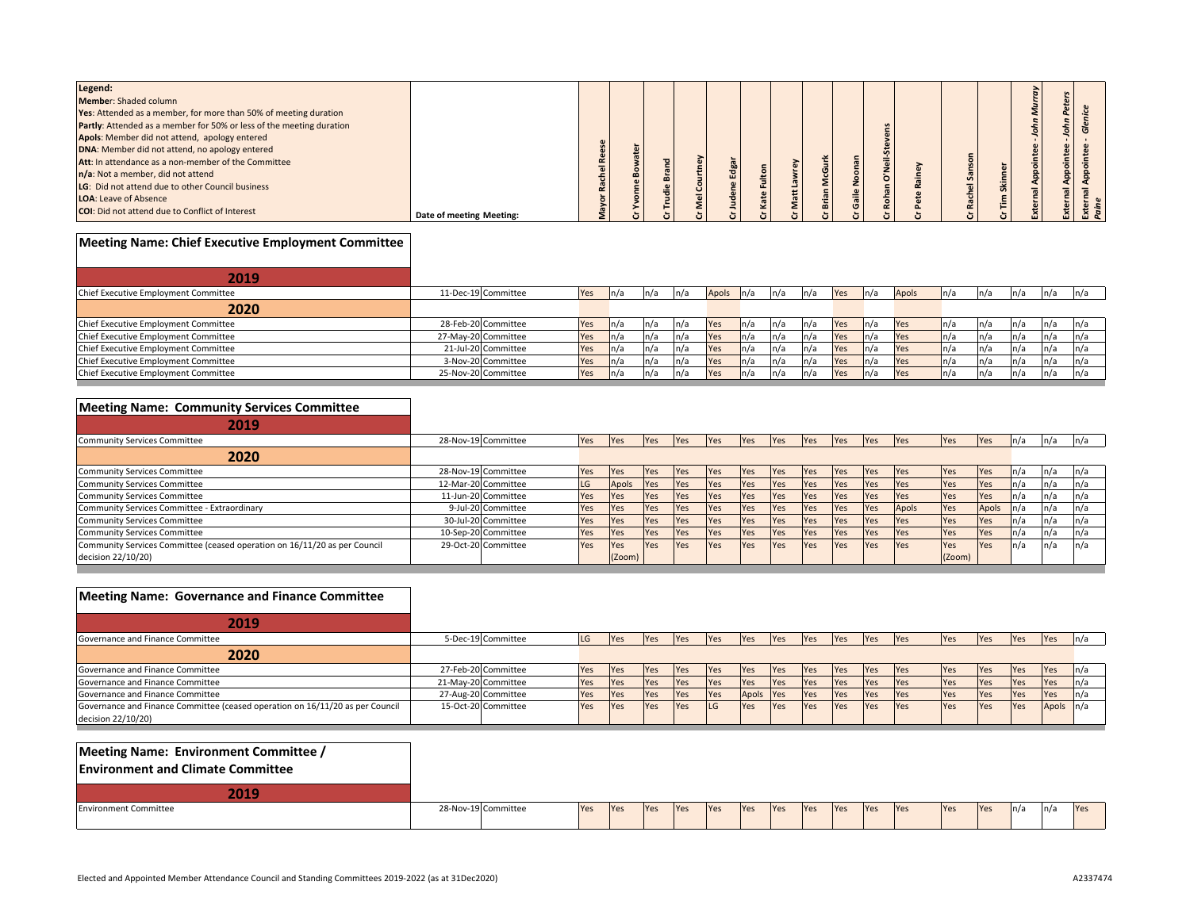| Legend:                                                              |                          |  |  |                         |  |   |   |  |  |   |  |
|----------------------------------------------------------------------|--------------------------|--|--|-------------------------|--|---|---|--|--|---|--|
| <b>Member: Shaded column</b>                                         |                          |  |  |                         |  |   |   |  |  |   |  |
| Yes: Attended as a member, for more than 50% of meeting duration     |                          |  |  |                         |  |   |   |  |  |   |  |
| Partly: Attended as a member for 50% or less of the meeting duration |                          |  |  |                         |  |   |   |  |  |   |  |
| Apols: Member did not attend, apology entered                        |                          |  |  |                         |  |   |   |  |  |   |  |
| DNA: Member did not attend, no apology entered                       |                          |  |  |                         |  |   |   |  |  |   |  |
| Att: In attendance as a non-member of the Committee                  |                          |  |  |                         |  |   |   |  |  | c |  |
| n/a: Not a member, did not attend                                    |                          |  |  | $\overline{\mathbf{r}}$ |  |   |   |  |  | о |  |
| LG: Did not attend due to other Council business                     |                          |  |  |                         |  |   |   |  |  |   |  |
| <b>LOA: Leave of Absence</b>                                         |                          |  |  |                         |  |   | 듷 |  |  |   |  |
| <b>COI:</b> Did not attend due to Conflict of Interest               | Date of meeting Meeting: |  |  |                         |  | æ |   |  |  |   |  |

# **Meeting Name: Chief Executive Employment Committee**

| 2019                                 |                     |     |      |     |     |       |      |      |      |     |      |            |      |      |      |      |  |
|--------------------------------------|---------------------|-----|------|-----|-----|-------|------|------|------|-----|------|------------|------|------|------|------|--|
| Chief Executive Employment Committee | 11-Dec-19 Committee | Yes | ln/a |     | n/a | Apols | ln/a | n/a  | ln/a | Yes | ln/a | Apols      |      | ግ/a  |      | n/a  |  |
| 2020                                 |                     |     |      |     |     |       |      |      |      |     |      |            |      |      |      |      |  |
| Chief Executive Employment Committee | 28-Feb-20 Committee | Yes | ln/a |     | ግ/a | Yes   | ln/a | n/a  | ln/a | Yes | ln/a | <b>Yes</b> | 11/d | n/a  | 'n/a | ln/a |  |
| Chief Executive Employment Committee | 27-May-20 Committee | Yes | ln/a | n/a | n/a | Yes   |      | n/a  | ln/a | Yes | ln/a | <b>Yes</b> | II/d | n/a  | n/a  | ln/a |  |
| Chief Executive Employment Committee | 21-Jul-20 Committee | Yes | ln/a | n/a |     | Yes   |      | n/a  | ln/a | Yes | ln/a | <b>Yes</b> | 11/d | 17 d |      | ln/a |  |
| Chief Executive Employment Committee | 3-Nov-20 Committee  | Yes | In/a |     | n/a | Yes   |      | In/a | n/a  | Yes | ln/a | <b>Yes</b> |      |      |      | n/a  |  |
| Chief Executive Employment Committee | 25-Nov-20 Committee | Yes |      |     |     | Yes   |      | n/a  | ln/a | Yes | ln/a |            |      | ካ/a  |      | In/a |  |

### **Meeting Name: Community Services Committee**

| 2019                                                                      |                     |     |        |            |            |            |            |            |            |            |            |             |            |            |      |      |      |
|---------------------------------------------------------------------------|---------------------|-----|--------|------------|------------|------------|------------|------------|------------|------------|------------|-------------|------------|------------|------|------|------|
| <b>Community Services Committee</b>                                       | 28-Nov-19 Committee | Yes | Yes    | Yes        | <b>Yes</b> | <b>Yes</b> | <b>Yes</b> | <b>Yes</b> | Yes        | Yes        | <b>Yes</b> | <b>IYes</b> | Yes        | <b>Yes</b> | n/a  | ln/a |      |
| 2020                                                                      |                     |     |        |            |            |            |            |            |            |            |            |             |            |            |      |      |      |
| <b>Community Services Committee</b>                                       | 28-Nov-19 Committee | Yes | Yes    | <b>Yes</b> | Yes        | <b>Yes</b> | Yes        | Yes        | <b>Yes</b> | <b>Yes</b> | <b>Yes</b> | Yes         | Yes        | Yes        | n/a  | n/a  | n/a  |
| <b>Community Services Committee</b>                                       | 12-Mar-20 Committee | LG  | Apols  | Yes        | Yes        | <b>Yes</b> | Yes        | <b>Yes</b> | Yes        | <b>Yes</b> | Yes        | Yes         | <b>Yes</b> | <b>Yes</b> | n/a  | n/a  | n/a  |
| <b>Community Services Committee</b>                                       | 11-Jun-20 Committee | Yes | Yes    | Yes        | Yes        | Yes        | Yes        | Yes        | <b>Yes</b> | Yes        | <b>Yes</b> | Yes         | Yes        | <b>Yes</b> | ln/a | n/a  |      |
| Community Services Committee - Extraordinary                              | 9-Jul-20 Committee  | Yes | Yes    | Yes        | Yes        | <b>Yes</b> | <b>Yes</b> | Yes        | <b>Yes</b> | <b>Yes</b> | <b>Yes</b> | Apols       | Yes        | Apols      | ln/a | n/a  | n/a  |
| <b>Community Services Committee</b>                                       | 30-Jul-20 Committee | Yes | Yes    | Yes        | Yes        | <b>Yes</b> | Yes        | <b>Yes</b> | Yes        | Yes        | Yes        | Yes         | <b>Yes</b> | <b>Yes</b> | ln/a | n/a  | n/a  |
| <b>Community Services Committee</b>                                       | 10-Sep-20 Committee | Yes | Yes    | Yes        | Yes        | <b>Yes</b> | Yes        | <b>Yes</b> | Yes        | Yes        | <b>Yes</b> | Yes         | Yes        | <b>Yes</b> | ln/a | n/a  | n/a  |
| Community Services Committee (ceased operation on 16/11/20 as per Council | 29-Oct-20 Committee | Yes | Yes    | Yes        | Yes        | Yes        | Yes        | <b>Yes</b> | <b>Yes</b> | <b>Yes</b> | <b>Yes</b> | Yes         | Yes        | <b>Yes</b> | ln/a | n/a  | In/a |
| decision 22/10/20)                                                        |                     |     | (Zoom) |            |            |            |            |            |            |            |            |             | (Zoom)     |            |      |      |      |

## **Meeting Name: Governance and Finance Committee**

| 2019                                                                                                |                     |     |            |             |             |            |            |            |            |             |            |             |             |            |            |              |      |
|-----------------------------------------------------------------------------------------------------|---------------------|-----|------------|-------------|-------------|------------|------------|------------|------------|-------------|------------|-------------|-------------|------------|------------|--------------|------|
| Governance and Finance Committee                                                                    | 5-Dec-19 Committee  | LG  | <b>Yes</b> | <b>IYes</b> | <b>Yes</b>  | <b>Yes</b> | <b>Yes</b> | <b>Yes</b> | Yes        | <b>IYes</b> | <b>Yes</b> | <b>IYes</b> | <b>IYes</b> | <b>Yes</b> | <b>Yes</b> | <b>PYes</b>  |      |
| 2020                                                                                                |                     |     |            |             |             |            |            |            |            |             |            |             |             |            |            |              |      |
| Governance and Finance Committee                                                                    | 27-Feb-20 Committee | Yes | Yes        | Yes         | <b>Yes</b>  | <b>Yes</b> | Yes        | <b>Yes</b> | <b>Yes</b> | Yes         | <b>Yes</b> | <b>IYes</b> | Yes         | Yes        | <b>Yes</b> | <b>Yes</b>   | ln/a |
| Governance and Finance Committee                                                                    | 21-May-20 Committee | Yes | Yes        | Yes         | <b>Yes</b>  | <b>Yes</b> | Yes        | <b>Yes</b> | <b>Yes</b> | <b>Yes</b>  | <b>Yes</b> | <b>IYes</b> | <b>Yes</b>  | <b>Yes</b> | <b>Yes</b> | <b>P</b> Yes |      |
| Governance and Finance Committee                                                                    | 27-Aug-20 Committee | Yes | Yes        | Yes         | <b>Yes</b>  | <b>Yes</b> | Apols Yes  |            | <b>Yes</b> | <b>Yes</b>  | Yes        | Yes         | <b>Yes</b>  | Yes        | <b>Yes</b> | <b>IYes</b>  |      |
| Governance and Finance Committee (ceased operation on 16/11/20 as per Council<br>decision 22/10/20) | 15-Oct-20 Committee | Yes | Yes        | <b>Yes</b>  | <b>IYes</b> | <b>ILG</b> | Yes        | <b>Yes</b> | <b>Yes</b> | <b>Yes</b>  | Yes        | Yes         | <b>Yes</b>  | Yes        | <b>Yes</b> | Apols In/a   |      |

## **Meeting Name: Environment Committee /**

#### **Environment and Climate Committee**

| 3010<br>2013                 |                     |     |            |            |            |     |            |            |     |              |            |              |            |             |      |     |            |
|------------------------------|---------------------|-----|------------|------------|------------|-----|------------|------------|-----|--------------|------------|--------------|------------|-------------|------|-----|------------|
| <b>Environment Committee</b> | 28-Nov-19 Committee | Yes | <b>Yes</b> | <b>Yes</b> | <b>Yes</b> | Yes | <b>Yes</b> | <b>Yes</b> | Yes | <b>P</b> Yes | <b>Yes</b> | <b>P</b> Yes | <b>Yes</b> | <b>PYes</b> | ln/a | n/a | <b>Yes</b> |